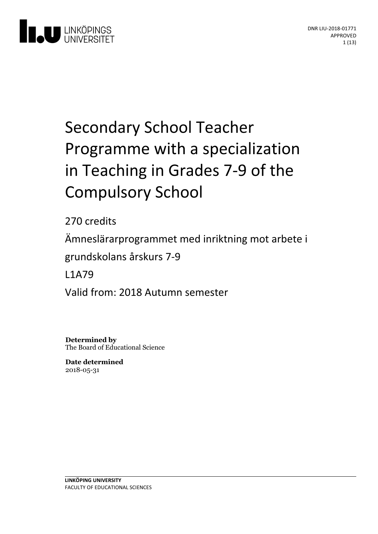

# Secondary School Teacher Programme with a specialization in Teaching in Grades 7-9 of the **Compulsory School**

270 credits Ämneslärarprogrammet med inriktning motarbete i grundskolansårskurs 7-9 L1A79 Valid from: 2018 Autumn semester

**Determined by** The Board of Educational Science

**Date determined** 2018-05-31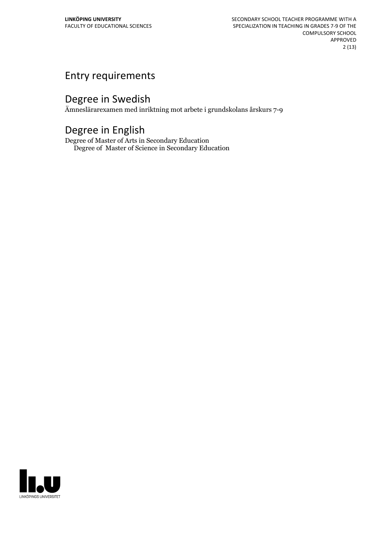# Entry requirements

# Degree in Swedish

Ämneslärarexamen med inriktning mot arbete i grundskolans årskurs 7-9

# Degree in English

Degree of Master of Arts in Secondary Education Degree of Master of Science in Secondary Education

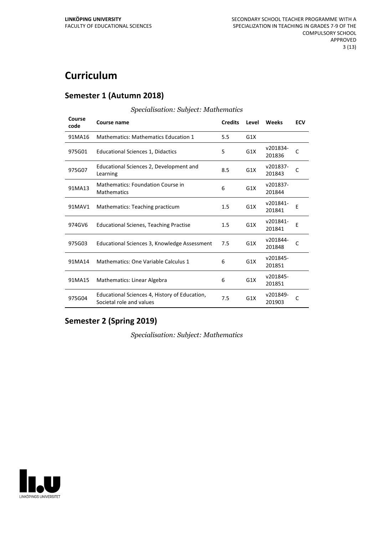# **Curriculum**

#### **Semester 1 (Autumn 2018)**

| Course<br>code | Course name                                                               | <b>Credits</b> | Level | Weeks              | <b>ECV</b> |
|----------------|---------------------------------------------------------------------------|----------------|-------|--------------------|------------|
| 91MA16         | <b>Mathematics: Mathematics Education 1</b>                               | 5.5            | G1X   |                    |            |
| 975G01         | <b>Educational Sciences 1, Didactics</b>                                  | 5              | G1X   | v201834-<br>201836 | C          |
| 975G07         | Educational Sciences 2, Development and<br>Learning                       | 8.5            | G1X   | v201837-<br>201843 | C          |
| 91MA13         | <b>Mathematics: Foundation Course in</b><br><b>Mathematics</b>            | 6              | G1X   | v201837-<br>201844 |            |
| 91MAV1         | Mathematics: Teaching practicum                                           | 1.5            | G1X   | v201841-<br>201841 | E          |
| 974GV6         | <b>Educational Scienes, Teaching Practise</b>                             | 1.5            | G1X   | v201841-<br>201841 | F          |
| 975G03         | Educational Sciences 3, Knowledge Assessment                              | 7.5            | G1X   | v201844-<br>201848 | C          |
| 91MA14         | Mathematics: One Variable Calculus 1                                      | 6              | G1X   | v201845-<br>201851 |            |
| 91MA15         | Mathematics: Linear Algebra                                               | 6              | G1X   | v201845-<br>201851 |            |
| 975G04         | Educational Sciences 4, History of Education,<br>Societal role and values | 7.5            | G1X   | v201849-<br>201903 | C          |

#### *Specialisation: Subject: Mathematics*

#### **Semester 2 (Spring 2019)**

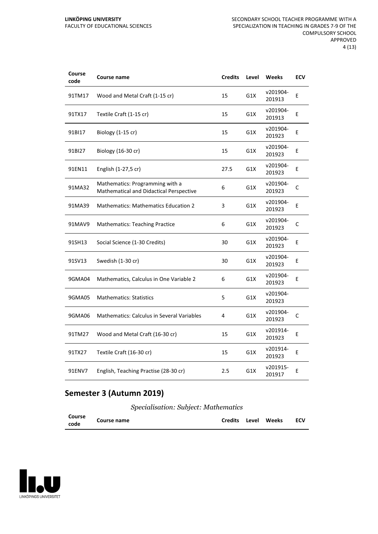| Course<br>code | Course name                                                                | <b>Credits</b> | Level | <b>Weeks</b>       | <b>ECV</b> |
|----------------|----------------------------------------------------------------------------|----------------|-------|--------------------|------------|
| 91TM17         | Wood and Metal Craft (1-15 cr)                                             | 15             | G1X   | v201904-<br>201913 | E          |
| 91TX17         | Textile Craft (1-15 cr)                                                    | 15             | G1X   | v201904-<br>201913 | Ε          |
| 91BI17         | Biology (1-15 cr)                                                          | 15             | G1X   | v201904-<br>201923 | E          |
| 91BI27         | Biology (16-30 cr)                                                         | 15             | G1X   | v201904-<br>201923 | E          |
| 91EN11         | English (1-27,5 cr)                                                        | 27.5           | G1X   | v201904-<br>201923 | E          |
| 91MA32         | Mathematics: Programming with a<br>Mathematical and Didactical Perspective | 6              | G1X   | v201904-<br>201923 | C          |
| 91MA39         | <b>Mathematics: Mathematics Education 2</b>                                | 3              | G1X   | v201904-<br>201923 | E          |
| 91MAV9         | <b>Mathematics: Teaching Practice</b>                                      | 6              | G1X   | v201904-<br>201923 | C          |
| 91SH13         | Social Science (1-30 Credits)                                              | 30             | G1X   | v201904-<br>201923 | E          |
| 91SV13         | Swedish (1-30 cr)                                                          | 30             | G1X   | v201904-<br>201923 | E          |
| 9GMA04         | Mathematics, Calculus in One Variable 2                                    | 6              | G1X   | v201904-<br>201923 | E          |
| 9GMA05         | <b>Mathematics: Statistics</b>                                             | 5              | G1X   | v201904-<br>201923 |            |
| 9GMA06         | <b>Mathematics: Calculus in Several Variables</b>                          | 4              | G1X   | v201904-<br>201923 | С          |
| 91TM27         | Wood and Metal Craft (16-30 cr)                                            | 15             | G1X   | v201914-<br>201923 | Е          |
| 91TX27         | Textile Craft (16-30 cr)                                                   | 15             | G1X   | v201914-<br>201923 | E          |
| 91ENV7         | English, Teaching Practise (28-30 cr)                                      | 2.5            | G1X   | v201915-<br>201917 | E          |

## **Semester 3 (Autumn 2019)**

*Specialisation: Subject: Mathematics*

| Course<br>code | <b>Course name</b> |  |  | Credits Level Weeks ECV |  |  |
|----------------|--------------------|--|--|-------------------------|--|--|
|----------------|--------------------|--|--|-------------------------|--|--|

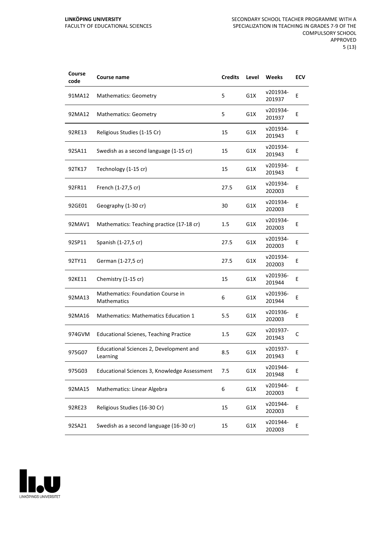| Course<br>code | <b>Course name</b>                                             | <b>Credits</b> | Level            | Weeks              | ECV |
|----------------|----------------------------------------------------------------|----------------|------------------|--------------------|-----|
| 91MA12         | <b>Mathematics: Geometry</b>                                   | 5              | G1X              | v201934-<br>201937 | Е   |
| 92MA12         | <b>Mathematics: Geometry</b>                                   | 5              | G1X              | v201934-<br>201937 | Ε   |
| 92RE13         | Religious Studies (1-15 Cr)                                    | 15             | G1X              | v201934-<br>201943 | E   |
| 92SA11         | Swedish as a second language (1-15 cr)                         | 15             | G1X              | v201934-<br>201943 | E   |
| 92TK17         | Technology (1-15 cr)                                           | 15             | G1X              | v201934-<br>201943 | Е   |
| 92FR11         | French (1-27,5 cr)                                             | 27.5           | G1X              | v201934-<br>202003 | E   |
| 92GE01         | Geography (1-30 cr)                                            | 30             | G1X              | v201934-<br>202003 | Ε   |
| 92MAV1         | Mathematics: Teaching practice (17-18 cr)                      | 1.5            | G1X              | v201934-<br>202003 | Е   |
| 92SP11         | Spanish (1-27,5 cr)                                            | 27.5           | G1X              | v201934-<br>202003 | E   |
| 92TY11         | German (1-27,5 cr)                                             | 27.5           | G1X              | v201934-<br>202003 | E   |
| 92KE11         | Chemistry (1-15 cr)                                            | 15             | G1X              | v201936-<br>201944 | E   |
| 92MA13         | <b>Mathematics: Foundation Course in</b><br><b>Mathematics</b> | 6              | G1X              | v201936-<br>201944 | Е   |
| 92MA16         | <b>Mathematics: Mathematics Education 1</b>                    | 5.5            | G1X              | v201936-<br>202003 | E   |
| 974GVM         | <b>Educational Scienes, Teaching Practice</b>                  | 1.5            | G <sub>2</sub> X | v201937-<br>201943 | С   |
| 975G07         | Educational Sciences 2, Development and<br>Learning            | 8.5            | G1X              | v201937-<br>201943 | Ε   |
| 975G03         | Educational Sciences 3, Knowledge Assessment                   | 7.5            | G1X              | v201944-<br>201948 | E   |
| 92MA15         | Mathematics: Linear Algebra                                    | 6              | G1X              | v201944-<br>202003 | E   |
| 92RE23         | Religious Studies (16-30 Cr)                                   | 15             | G1X              | v201944-<br>202003 | Ε   |
| 92SA21         | Swedish as a second language (16-30 cr)                        | 15             | G1X              | v201944-<br>202003 | E   |

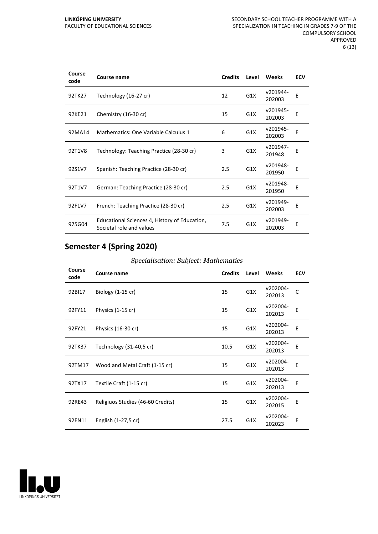| Course<br>code | Course name                                                               | <b>Credits</b> | Level | Weeks              | <b>ECV</b> |
|----------------|---------------------------------------------------------------------------|----------------|-------|--------------------|------------|
| 92TK27         | Technology (16-27 cr)                                                     | 12             | G1X   | v201944-<br>202003 | E          |
| 92KE21         | Chemistry (16-30 cr)                                                      | 15             | G1X   | v201945-<br>202003 | E          |
| 92MA14         | Mathematics: One Variable Calculus 1                                      | 6              | G1X   | v201945-<br>202003 | Е          |
| 92T1V8         | Technology: Teaching Practice (28-30 cr)                                  | 3              | G1X   | v201947-<br>201948 | E          |
| 92S1V7         | Spanish: Teaching Practice (28-30 cr)                                     | 2.5            | G1X   | v201948-<br>201950 | E          |
| 92T1V7         | German: Teaching Practice (28-30 cr)                                      | 2.5            | G1X   | v201948-<br>201950 | E          |
| 92F1V7         | French: Teaching Practice (28-30 cr)                                      | 2.5            | G1X   | v201949-<br>202003 | Ε          |
| 975G04         | Educational Sciences 4, History of Education,<br>Societal role and values | 7.5            | G1X   | v201949-<br>202003 | E          |

## **Semester 4 (Spring 2020)**

| Course<br>code | Course name                       | <b>Credits</b> | Level | Weeks              | <b>ECV</b> |
|----------------|-----------------------------------|----------------|-------|--------------------|------------|
| 92BI17         | Biology $(1-15$ cr)               | 15             | G1X   | v202004-<br>202013 | C          |
| 92FY11         | Physics (1-15 cr)                 | 15             | G1X   | v202004-<br>202013 | E          |
| 92FY21         | Physics (16-30 cr)                | 15             | G1X   | v202004-<br>202013 | E          |
| 92TK37         | Technology (31-40,5 cr)           | 10.5           | G1X   | v202004-<br>202013 | E          |
| 92TM17         | Wood and Metal Craft (1-15 cr)    | 15             | G1X   | v202004-<br>202013 | E          |
| 92TX17         | Textile Craft (1-15 cr)           | 15             | G1X   | v202004-<br>202013 | E          |
| 92RE43         | Religiuos Studies (46-60 Credits) | 15             | G1X   | v202004-<br>202015 | E          |
| 92EN11         | English (1-27,5 cr)               | 27.5           | G1X   | v202004-<br>202023 | E          |

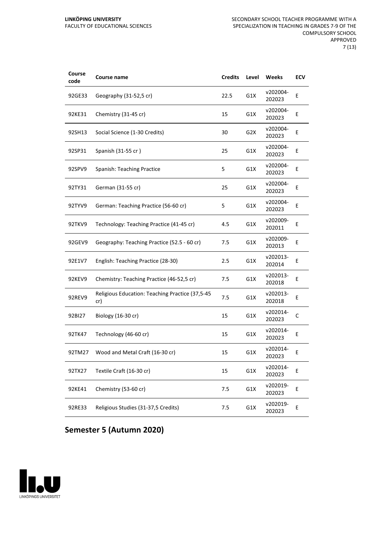| Course<br>code | <b>Course name</b>                                     | <b>Credits</b> | Level            | Weeks              | <b>ECV</b> |
|----------------|--------------------------------------------------------|----------------|------------------|--------------------|------------|
| 92GE33         | Geography (31-52,5 cr)                                 | 22.5           | G1X              | v202004-<br>202023 | E          |
| 92KE31         | Chemistry (31-45 cr)                                   | 15             | G1X              | v202004-<br>202023 | Ε          |
| 92SH13         | Social Science (1-30 Credits)                          | 30             | G <sub>2</sub> X | v202004-<br>202023 | E          |
| 92SP31         | Spanish (31-55 cr)                                     | 25             | G1X              | v202004-<br>202023 | E          |
| 92SPV9         | Spanish: Teaching Practice                             | 5              | G1X              | v202004-<br>202023 | Ε          |
| 92TY31         | German (31-55 cr)                                      | 25             | G1X              | v202004-<br>202023 | E          |
| 92TYV9         | German: Teaching Practice (56-60 cr)                   | 5              | G1X              | v202004-<br>202023 | Ε          |
| 92TKV9         | Technology: Teaching Practice (41-45 cr)               | 4.5            | G1X              | v202009-<br>202011 | Ε          |
| 92GEV9         | Geography: Teaching Practice (52.5 - 60 cr)            | 7.5            | G1X              | v202009-<br>202013 | E          |
| 92E1V7         | English: Teaching Practice (28-30)                     | 2.5            | G1X              | v202013-<br>202014 | E          |
| 92KEV9         | Chemistry: Teaching Practice (46-52,5 cr)              | 7.5            | G1X              | v202013-<br>202018 | E          |
| 92REV9         | Religious Education: Teaching Practice (37,5-45<br>cr) | 7.5            | G1X              | v202013-<br>202018 | Ε          |
| 92BI27         | Biology (16-30 cr)                                     | 15             | G1X              | v202014-<br>202023 | С          |
| 92TK47         | Technology (46-60 cr)                                  | 15             | G1X              | v202014-<br>202023 | E          |
| 92TM27         | Wood and Metal Craft (16-30 cr)                        | 15             | G1X              | v202014-<br>202023 | Ε          |
| 92TX27         | Textile Craft (16-30 cr)                               | 15             | G1X              | v202014-<br>202023 | E          |
| 92KE41         | Chemistry (53-60 cr)                                   | 7.5            | G1X              | v202019-<br>202023 | E          |
| 92RE33         | Religious Studies (31-37,5 Credits)                    | 7.5            | G1X              | v202019-<br>202023 | E          |

## **Semester 5 (Autumn 2020)**

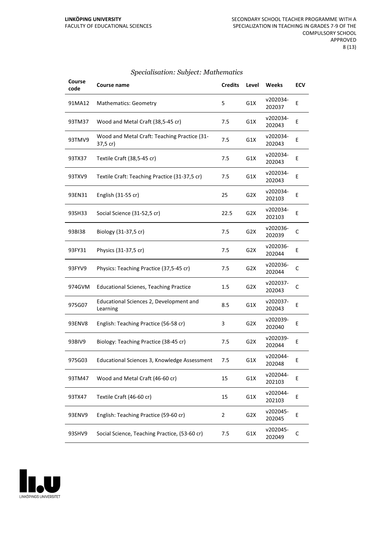| Course<br>code | Course name                                              | <b>Credits</b> | Level            | Weeks              | <b>ECV</b>   |
|----------------|----------------------------------------------------------|----------------|------------------|--------------------|--------------|
| 91MA12         | <b>Mathematics: Geometry</b>                             | 5              | G1X              | v202034-<br>202037 | E            |
| 93TM37         | Wood and Metal Craft (38,5-45 cr)                        | 7.5            | G1X              | v202034-<br>202043 | E            |
| 93TMV9         | Wood and Metal Craft: Teaching Practice (31-<br>37,5 cr) | 7.5            | G1X              | v202034-<br>202043 | Ε            |
| 93TX37         | Textile Craft (38,5-45 cr)                               | 7.5            | G1X              | v202034-<br>202043 | Ε            |
| 93TXV9         | Textile Craft: Teaching Practice (31-37,5 cr)            | 7.5            | G1X              | v202034-<br>202043 | E            |
| 93EN31         | English (31-55 cr)                                       | 25             | G <sub>2</sub> X | v202034-<br>202103 | E            |
| 93SH33         | Social Science (31-52,5 cr)                              | 22.5           | G2X              | v202034-<br>202103 | E            |
| 93BI38         | Biology (31-37,5 cr)                                     | 7.5            | G <sub>2</sub> X | v202036-<br>202039 | $\mathsf{C}$ |
| 93FY31         | Physics (31-37,5 cr)                                     | 7.5            | G <sub>2</sub> X | v202036-<br>202044 | E            |
| 93FYV9         | Physics: Teaching Practice (37,5-45 cr)                  | 7.5            | G <sub>2</sub> X | v202036-<br>202044 | C            |
| 974GVM         | <b>Educational Scienes, Teaching Practice</b>            | 1.5            | G <sub>2</sub> X | v202037-<br>202043 | С            |
| 975G07         | Educational Sciences 2, Development and<br>Learning      | 8.5            | G1X              | v202037-<br>202043 | E            |
| 93ENV8         | English: Teaching Practice (56-58 cr)                    | 3              | G <sub>2</sub> X | v202039-<br>202040 | Ε            |
| 93BIV9         | Biology: Teaching Practice (38-45 cr)                    | 7.5            | G <sub>2</sub> X | v202039-<br>202044 | E            |
| 975G03         | Educational Sciences 3, Knowledge Assessment             | 7.5            | G1X              | v202044-<br>202048 | Е            |
| 93TM47         | Wood and Metal Craft (46-60 cr)                          | 15             | G1X              | v202044-<br>202103 | Ε            |
| 93TX47         | Textile Craft (46-60 cr)                                 | 15             | G1X              | v202044-<br>202103 | E            |
| 93ENV9         | English: Teaching Practice (59-60 cr)                    | 2              | G <sub>2</sub> X | v202045-<br>202045 | E            |
| 93SHV9         | Social Science, Teaching Practice, (53-60 cr)            | 7.5            | G1X              | v202045-<br>202049 | C            |

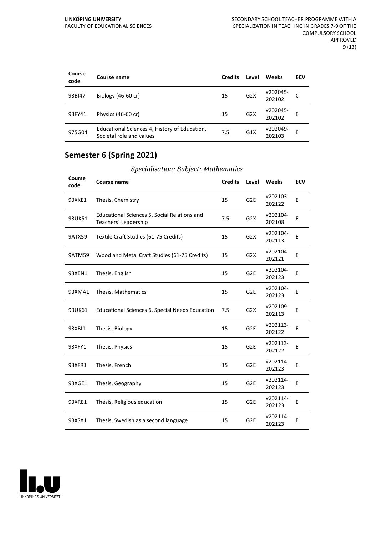| Course<br>code | Course name                                                               | <b>Credits</b> | Level            | Weeks              | ECV |
|----------------|---------------------------------------------------------------------------|----------------|------------------|--------------------|-----|
| 93BI47         | Biology $(46-60$ cr)                                                      | 15             | G2X              | v202045-<br>202102 | C   |
| 93FY41         | Physics (46-60 cr)                                                        | 15             | G <sub>2</sub> X | v202045-<br>202102 | E   |
| 975G04         | Educational Sciences 4, History of Education,<br>Societal role and values | 7.5            | G1X              | v202049-<br>202103 | E   |

# **Semester 6 (Spring 2021)**

| Course<br>code | Course name                                                          | <b>Credits</b> | Level            | <b>Weeks</b>       | <b>ECV</b> |
|----------------|----------------------------------------------------------------------|----------------|------------------|--------------------|------------|
| 93XKE1         | Thesis, Chemistry                                                    | 15             | G <sub>2E</sub>  | v202103-<br>202122 | E          |
| 93UK51         | Educational Sciences 5, Social Relations and<br>Teachers' Leadership | 7.5            | G <sub>2</sub> X | v202104-<br>202108 | E          |
| <b>9ATX59</b>  | Textile Craft Studies (61-75 Credits)                                | 15             | G <sub>2</sub> X | v202104-<br>202113 | E          |
| <b>9ATM59</b>  | Wood and Metal Craft Studies (61-75 Credits)                         | 15             | G <sub>2</sub> X | v202104-<br>202121 | Ε          |
| 93XEN1         | Thesis, English                                                      | 15             | G <sub>2E</sub>  | v202104-<br>202123 | E          |
| 93XMA1         | Thesis, Mathematics                                                  | 15             | G <sub>2E</sub>  | v202104-<br>202123 | E          |
| 93UK61         | Educational Sciences 6, Special Needs Education                      | 7.5            | G <sub>2</sub> X | v202109-<br>202113 | Ε          |
| 93XBI1         | Thesis, Biology                                                      | 15             | G <sub>2E</sub>  | v202113-<br>202122 | E          |
| 93XFY1         | Thesis, Physics                                                      | 15             | G <sub>2E</sub>  | v202113-<br>202122 | E          |
| 93XFR1         | Thesis, French                                                       | 15             | G <sub>2E</sub>  | v202114-<br>202123 | E          |
| 93XGE1         | Thesis, Geography                                                    | 15             | G <sub>2E</sub>  | v202114-<br>202123 | Ε          |
| 93XRE1         | Thesis, Religious education                                          | 15             | G <sub>2E</sub>  | v202114-<br>202123 | E          |
| 93XSA1         | Thesis, Swedish as a second language                                 | 15             | G <sub>2E</sub>  | v202114-<br>202123 | E          |

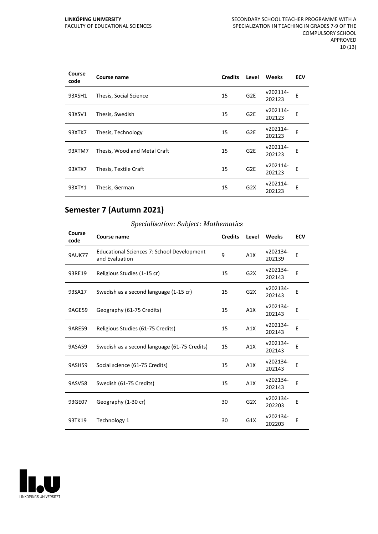| Course<br>code | Course name                  | <b>Credits</b> | Level           | Weeks              | <b>ECV</b> |
|----------------|------------------------------|----------------|-----------------|--------------------|------------|
| 93XSH1         | Thesis, Social Science       | 15             | G <sub>2E</sub> | v202114-<br>202123 | Е          |
| 93XSV1         | Thesis, Swedish              | 15             | G <sub>2E</sub> | v202114-<br>202123 | E          |
| 93XTK7         | Thesis, Technology           | 15             | G <sub>2E</sub> | v202114-<br>202123 | E          |
| 93XTM7         | Thesis, Wood and Metal Craft | 15             | G <sub>2E</sub> | v202114-<br>202123 | Е          |
| 93XTX7         | Thesis, Textile Craft        | 15             | G <sub>2E</sub> | v202114-<br>202123 | Е          |
| 93XTY1         | Thesis, German               | 15             | G2X             | v202114-<br>202123 | Е          |

## **Semester 7 (Autumn 2021)**

| Course<br>code | Course name                                                         | <b>Credits</b> | Level            | Weeks              | <b>ECV</b> |
|----------------|---------------------------------------------------------------------|----------------|------------------|--------------------|------------|
| <b>9AUK77</b>  | <b>Educational Sciences 7: School Development</b><br>and Evaluation | 9              | A1X              | v202134-<br>202139 | E          |
| 93RE19         | Religious Studies (1-15 cr)                                         | 15             | G2X              | v202134-<br>202143 | E          |
| 93SA17         | Swedish as a second language (1-15 cr)                              | 15             | G <sub>2</sub> X | v202134-<br>202143 | E          |
| 9AGE59         | Geography (61-75 Credits)                                           | 15             | A1X              | v202134-<br>202143 | E          |
| 9ARE59         | Religious Studies (61-75 Credits)                                   | 15             | A1X              | v202134-<br>202143 | Е          |
| 9ASA59         | Swedish as a second language (61-75 Credits)                        | 15             | A1X              | v202134-<br>202143 | E          |
| <b>9ASH59</b>  | Social science (61-75 Credits)                                      | 15             | A1X              | v202134-<br>202143 | E          |
| 9ASV58         | Swedish (61-75 Credits)                                             | 15             | A1X              | v202134-<br>202143 | E          |
| 93GE07         | Geography (1-30 cr)                                                 | 30             | G2X              | v202134-<br>202203 | Ε          |
| 93TK19         | Technology 1                                                        | 30             | G1X              | v202134-<br>202203 | E          |

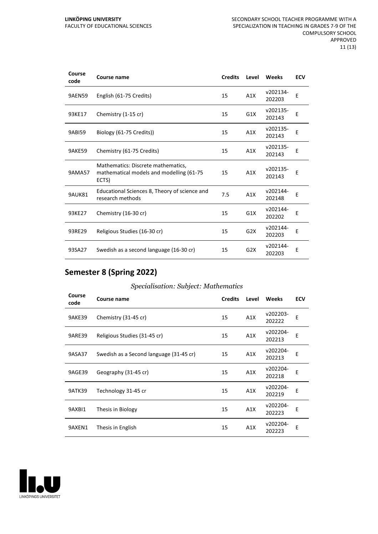| Course<br>code     | Course name                                                                              | <b>Credits</b> | Level            | Weeks              | <b>ECV</b> |
|--------------------|------------------------------------------------------------------------------------------|----------------|------------------|--------------------|------------|
| <b>9AEN59</b>      | English (61-75 Credits)                                                                  | 15             | A1X              | v202134-<br>202203 | E          |
| 93KE17             | Chemistry (1-15 cr)                                                                      | 15             | G <sub>1</sub> X | v202135-<br>202143 | E          |
| 9AB <sub>159</sub> | Biology (61-75 Credits))                                                                 | 15             | A1X              | v202135-<br>202143 | E          |
| 9AKE59             | Chemistry (61-75 Credits)                                                                | 15             | A1X              | v202135-<br>202143 | E          |
| <b>9AMA57</b>      | Mathematics: Discrete mathematics,<br>mathematical models and modelling (61-75)<br>ECTS) | 15             | A1X              | v202135-<br>202143 | E          |
| 9AUK81             | Educational Sciences 8, Theory of science and<br>research methods                        | 7.5            | A1X              | v202144-<br>202148 | E          |
| 93KE27             | Chemistry (16-30 cr)                                                                     | 15             | G1X              | v202144-<br>202202 | Е          |
| 93RE29             | Religious Studies (16-30 cr)                                                             | 15             | G <sub>2</sub> X | v202144-<br>202203 | E          |
| 93SA27             | Swedish as a second language (16-30 cr)                                                  | 15             | G <sub>2</sub> X | v202144-<br>202203 | E          |

# **Semester 8 (Spring 2022)**

| Course<br>code | Course name                             | <b>Credits</b> | Level | <b>Weeks</b>       | <b>ECV</b> |
|----------------|-----------------------------------------|----------------|-------|--------------------|------------|
| 9AKE39         | Chemistry (31-45 cr)                    | 15             | A1X   | v202203-<br>202222 | E          |
| 9ARE39         | Religious Studies (31-45 cr)            | 15             | A1X   | v202204-<br>202213 | E          |
| 9ASA37         | Swedish as a Second language (31-45 cr) | 15             | A1X   | v202204-<br>202213 | E          |
| 9AGE39         | Geography (31-45 cr)                    | 15             | A1X   | v202204-<br>202218 | E          |
| 9ATK39         | Technology 31-45 cr                     | 15             | A1X   | v202204-<br>202219 | E          |
| 9AXBI1         | Thesis in Biology                       | 15             | A1X   | v202204-<br>202223 | E          |
| 9AXEN1         | Thesis in English                       | 15             | A1X   | v202204-<br>202223 | E          |

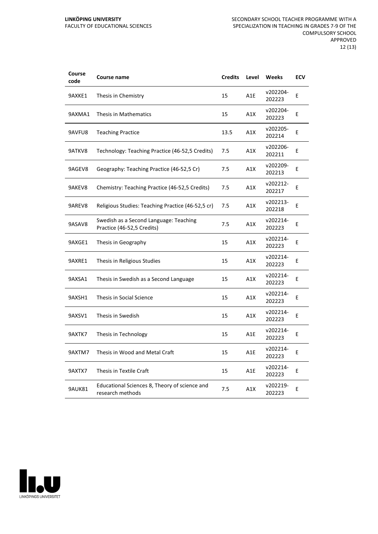| Course<br>code | Course name                                                          | <b>Credits</b> | Level | Weeks              | <b>ECV</b> |
|----------------|----------------------------------------------------------------------|----------------|-------|--------------------|------------|
| 9AXKE1         | Thesis in Chemistry                                                  | 15             | A1E   | v202204-<br>202223 | E          |
| 9AXMA1         | Thesis in Mathematics                                                | 15             | A1X   | v202204-<br>202223 | E          |
| 9AVFU8         | <b>Teaching Practice</b>                                             | 13.5           | A1X   | v202205-<br>202214 | E          |
| 9ATKV8         | Technology: Teaching Practice (46-52,5 Credits)                      | 7.5            | A1X   | v202206-<br>202211 | E          |
| 9AGEV8         | Geography: Teaching Practice (46-52,5 Cr)                            | 7.5            | A1X   | v202209-<br>202213 | E          |
| 9AKEV8         | Chemistry: Teaching Practice (46-52,5 Credits)                       | 7.5            | A1X   | v202212-<br>202217 | E          |
| 9AREV8         | Religious Studies: Teaching Practice (46-52,5 cr)                    | 7.5            | A1X   | v202213-<br>202218 | E          |
| 9ASAV8         | Swedish as a Second Language: Teaching<br>Practice (46-52,5 Credits) | 7.5            | A1X   | v202214-<br>202223 | E          |
| 9AXGE1         | Thesis in Geography                                                  | 15             | A1X   | v202214-<br>202223 | E          |
| 9AXRE1         | Thesis in Religious Studies                                          | 15             | A1X   | v202214-<br>202223 | E          |
| 9AXSA1         | Thesis in Swedish as a Second Language                               | 15             | A1X   | v202214-<br>202223 | Ε          |
| 9AXSH1         | Thesis in Social Science                                             | 15             | A1X   | v202214-<br>202223 | E          |
| 9AXSV1         | Thesis in Swedish                                                    | 15             | A1X   | v202214-<br>202223 | E          |
| 9AXTK7         | Thesis in Technology                                                 | 15             | A1E   | v202214-<br>202223 | Е          |
| 9AXTM7         | Thesis in Wood and Metal Craft                                       | 15             | A1E   | v202214-<br>202223 | Ε          |
| 9AXTX7         | Thesis in Textile Craft                                              | 15             | A1E   | v202214-<br>202223 | Е          |
| 9AUK81         | Educational Sciences 8, Theory of science and<br>research methods    | 7.5            | A1X   | v202219-<br>202223 | E          |